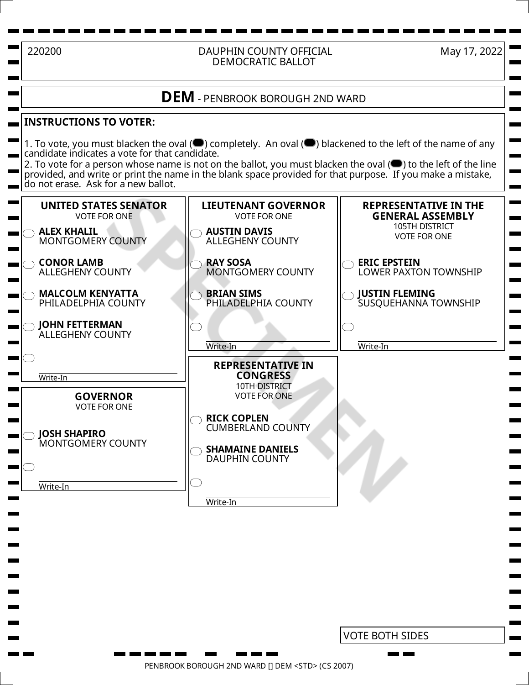## 220200 DAUPHIN COUNTY OFFICIAL DEMOCRATIC BALLOT

May 17, 2022

## **DEM** - PENBROOK BOROUGH 2ND WARD

## **INSTRUCTIONS TO VOTER:**

1. To vote, you must blacken the oval  $(\blacksquare)$  completely. An oval  $(\blacksquare)$  blackened to the left of the name of any candidate indicates a vote for that candidate.

2. To vote for a person whose name is not on the ballot, you must blacken the oval  $($ **)** to the left of the line provided, and write or print the name in the blank space provided for that purpose. If you make a mistake, do not erase. Ask for a new ballot.